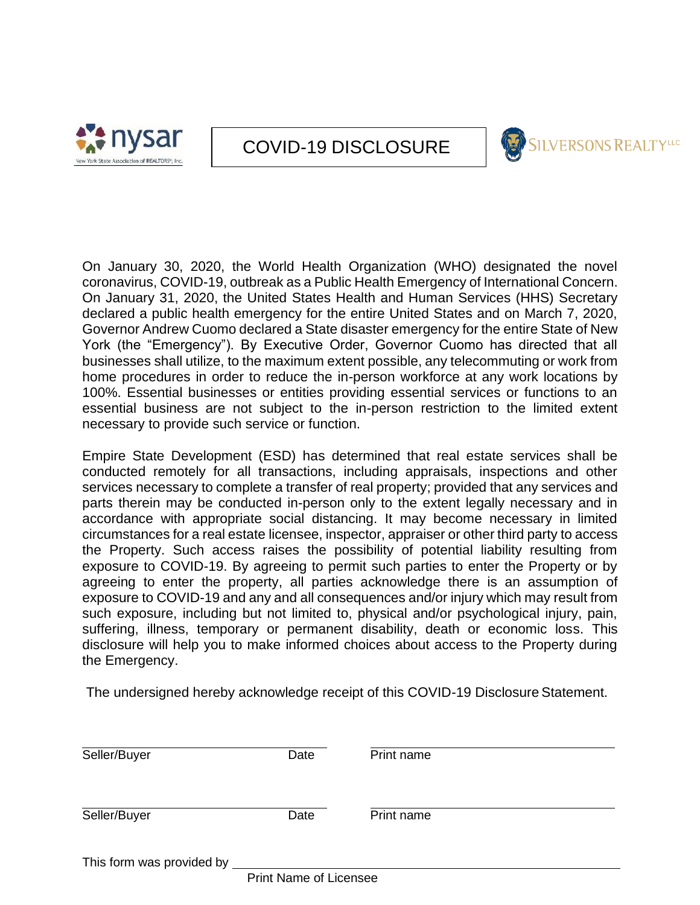



On January 30, 2020, the World Health Organization (WHO) designated the novel coronavirus, COVID-19, outbreak as a Public Health Emergency of International Concern. On January 31, 2020, the United States Health and Human Services (HHS) Secretary declared a public health emergency for the entire United States and on March 7, 2020, Governor Andrew Cuomo declared a State disaster emergency for the entire State of New York (the "Emergency"). By Executive Order, Governor Cuomo has directed that all businesses shall utilize, to the maximum extent possible, any telecommuting or work from home procedures in order to reduce the in-person workforce at any work locations by 100%. Essential businesses or entities providing essential services or functions to an essential business are not subject to the in-person restriction to the limited extent necessary to provide such service or function.

Empire State Development (ESD) has determined that real estate services shall be conducted remotely for all transactions, including appraisals, inspections and other services necessary to complete a transfer of real property; provided that any services and parts therein may be conducted in-person only to the extent legally necessary and in accordance with appropriate social distancing. It may become necessary in limited circumstances for a real estate licensee, inspector, appraiser or other third party to access the Property. Such access raises the possibility of potential liability resulting from exposure to COVID-19. By agreeing to permit such parties to enter the Property or by agreeing to enter the property, all parties acknowledge there is an assumption of exposure to COVID-19 and any and all consequences and/or injury which may result from such exposure, including but not limited to, physical and/or psychological injury, pain, suffering, illness, temporary or permanent disability, death or economic loss. This disclosure will help you to make informed choices about access to the Property during the Emergency.

The undersigned hereby acknowledge receipt of this COVID-19 Disclosure Statement.

| Seller/Buyer              | Date | Print name |  |
|---------------------------|------|------------|--|
| Seller/Buyer              | Date | Print name |  |
| This form was provided by |      |            |  |